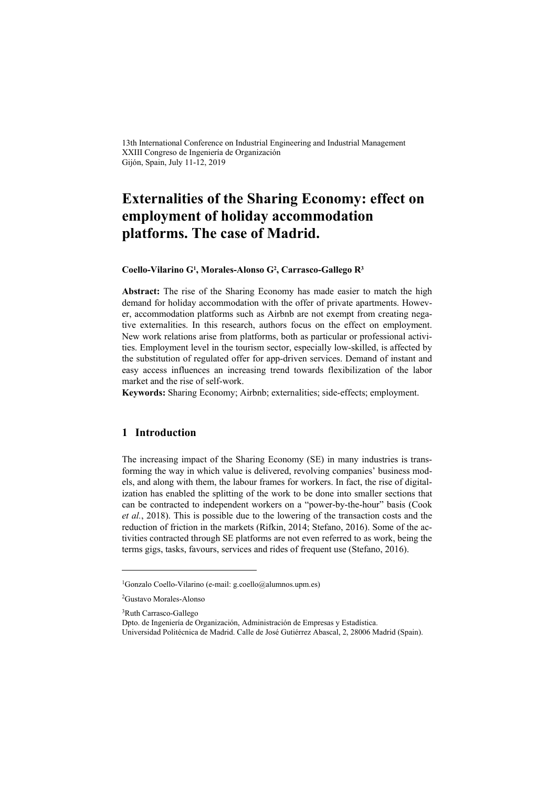13th International Conference on Industrial Engineering and Industrial Management XXIII Congreso de Ingeniería de Organización Gijón, Spain, July 11-12, 2019

# **Externalities of the Sharing Economy: effect on employment of holiday accommodation platforms. The case of Madrid.**

#### **Coello-Vilarino G1, Morales-Alonso G2, Carrasco-Gallego R3**

**Abstract:** The rise of the Sharing Economy has made easier to match the high demand for holiday accommodation with the offer of private apartments. However, accommodation platforms such as Airbnb are not exempt from creating negative externalities. In this research, authors focus on the effect on employment. New work relations arise from platforms, both as particular or professional activities. Employment level in the tourism sector, especially low-skilled, is affected by the substitution of regulated offer for app-driven services. Demand of instant and easy access influences an increasing trend towards flexibilization of the labor market and the rise of self-work.

**Keywords:** Sharing Economy; Airbnb; externalities; side-effects; employment.

#### **1 Introduction**

The increasing impact of the Sharing Economy (SE) in many industries is transforming the way in which value is delivered, revolving companies' business models, and along with them, the labour frames for workers. In fact, the rise of digitalization has enabled the splitting of the work to be done into smaller sections that can be contracted to independent workers on a "power-by-the-hour" basis (Cook *et al.*, 2018). This is possible due to the lowering of the transaction costs and the reduction of friction in the markets (Rifkin, 2014; Stefano, 2016). Some of the activities contracted through SE platforms are not even referred to as work, being the terms gigs, tasks, favours, services and rides of frequent use (Stefano, 2016).

l

<sup>&</sup>lt;sup>1</sup>Gonzalo Coello-Vilarino (e-mail: g.coello@alumnos.upm.es)

<sup>2</sup>Gustavo Morales-Alonso

<sup>3</sup>Ruth Carrasco-Gallego

Dpto. de Ingeniería de Organización, Administración de Empresas y Estadística.

Universidad Politécnica de Madrid. Calle de José Gutiérrez Abascal, 2, 28006 Madrid (Spain).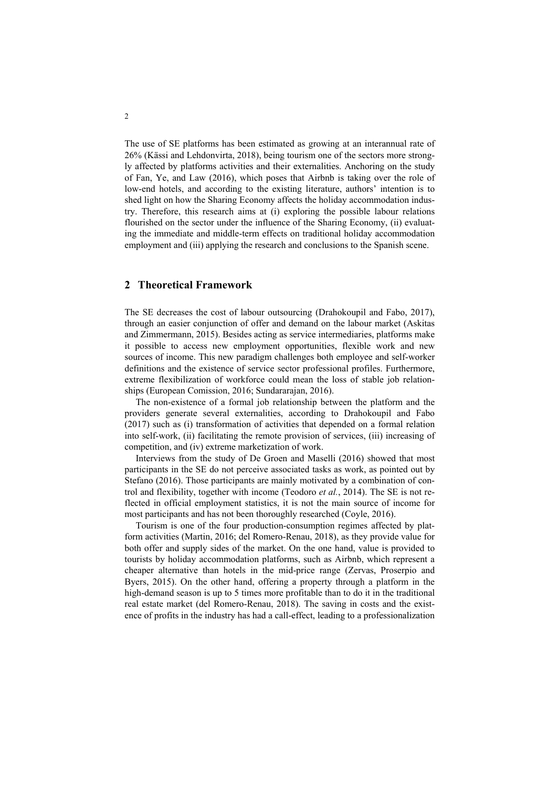The use of SE platforms has been estimated as growing at an interannual rate of 26% (Kässi and Lehdonvirta, 2018), being tourism one of the sectors more strongly affected by platforms activities and their externalities. Anchoring on the study of Fan, Ye, and Law (2016), which poses that Airbnb is taking over the role of low-end hotels, and according to the existing literature, authors' intention is to shed light on how the Sharing Economy affects the holiday accommodation industry. Therefore, this research aims at (i) exploring the possible labour relations flourished on the sector under the influence of the Sharing Economy, (ii) evaluating the immediate and middle-term effects on traditional holiday accommodation employment and (iii) applying the research and conclusions to the Spanish scene.

## **2 Theoretical Framework**

The SE decreases the cost of labour outsourcing (Drahokoupil and Fabo, 2017), through an easier conjunction of offer and demand on the labour market (Askitas and Zimmermann, 2015). Besides acting as service intermediaries, platforms make it possible to access new employment opportunities, flexible work and new sources of income. This new paradigm challenges both employee and self-worker definitions and the existence of service sector professional profiles. Furthermore, extreme flexibilization of workforce could mean the loss of stable job relationships (European Comission, 2016; Sundararajan, 2016).

The non-existence of a formal job relationship between the platform and the providers generate several externalities, according to Drahokoupil and Fabo (2017) such as (i) transformation of activities that depended on a formal relation into self-work, (ii) facilitating the remote provision of services, (iii) increasing of competition, and (iv) extreme marketization of work.

Interviews from the study of De Groen and Maselli (2016) showed that most participants in the SE do not perceive associated tasks as work, as pointed out by Stefano (2016). Those participants are mainly motivated by a combination of control and flexibility, together with income (Teodoro *et al.*, 2014). The SE is not reflected in official employment statistics, it is not the main source of income for most participants and has not been thoroughly researched (Coyle, 2016).

Tourism is one of the four production-consumption regimes affected by platform activities (Martin, 2016; del Romero-Renau, 2018), as they provide value for both offer and supply sides of the market. On the one hand, value is provided to tourists by holiday accommodation platforms, such as Airbnb, which represent a cheaper alternative than hotels in the mid-price range (Zervas, Proserpio and Byers, 2015). On the other hand, offering a property through a platform in the high-demand season is up to 5 times more profitable than to do it in the traditional real estate market (del Romero-Renau, 2018). The saving in costs and the existence of profits in the industry has had a call-effect, leading to a professionalization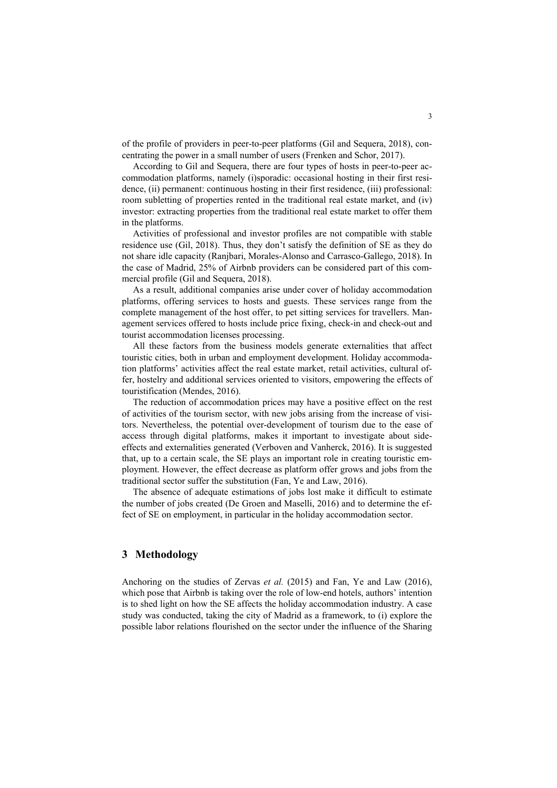of the profile of providers in peer-to-peer platforms (Gil and Sequera, 2018), concentrating the power in a small number of users (Frenken and Schor, 2017).

According to Gil and Sequera, there are four types of hosts in peer-to-peer accommodation platforms, namely (i)sporadic: occasional hosting in their first residence, (ii) permanent: continuous hosting in their first residence, (iii) professional: room subletting of properties rented in the traditional real estate market, and (iv) investor: extracting properties from the traditional real estate market to offer them in the platforms.

Activities of professional and investor profiles are not compatible with stable residence use (Gil, 2018). Thus, they don't satisfy the definition of SE as they do not share idle capacity (Ranjbari, Morales-Alonso and Carrasco-Gallego, 2018). In the case of Madrid, 25% of Airbnb providers can be considered part of this commercial profile (Gil and Sequera, 2018).

As a result, additional companies arise under cover of holiday accommodation platforms, offering services to hosts and guests. These services range from the complete management of the host offer, to pet sitting services for travellers. Management services offered to hosts include price fixing, check-in and check-out and tourist accommodation licenses processing.

All these factors from the business models generate externalities that affect touristic cities, both in urban and employment development. Holiday accommodation platforms' activities affect the real estate market, retail activities, cultural offer, hostelry and additional services oriented to visitors, empowering the effects of touristification (Mendes, 2016).

The reduction of accommodation prices may have a positive effect on the rest of activities of the tourism sector, with new jobs arising from the increase of visitors. Nevertheless, the potential over-development of tourism due to the ease of access through digital platforms, makes it important to investigate about sideeffects and externalities generated (Verboven and Vanherck, 2016). It is suggested that, up to a certain scale, the SE plays an important role in creating touristic employment. However, the effect decrease as platform offer grows and jobs from the traditional sector suffer the substitution (Fan, Ye and Law, 2016).

The absence of adequate estimations of jobs lost make it difficult to estimate the number of jobs created (De Groen and Maselli, 2016) and to determine the effect of SE on employment, in particular in the holiday accommodation sector.

### **3 Methodology**

Anchoring on the studies of Zervas *et al.* (2015) and Fan, Ye and Law (2016), which pose that Airbnb is taking over the role of low-end hotels, authors' intention is to shed light on how the SE affects the holiday accommodation industry. A case study was conducted, taking the city of Madrid as a framework, to (i) explore the possible labor relations flourished on the sector under the influence of the Sharing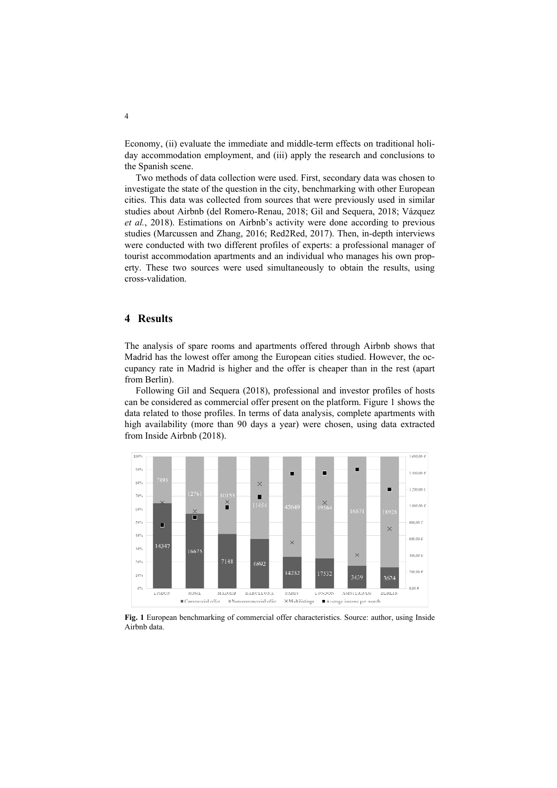Economy, (ii) evaluate the immediate and middle-term effects on traditional holiday accommodation employment, and (iii) apply the research and conclusions to the Spanish scene.

Two methods of data collection were used. First, secondary data was chosen to investigate the state of the question in the city, benchmarking with other European cities. This data was collected from sources that were previously used in similar studies about Airbnb (del Romero-Renau, 2018; Gil and Sequera, 2018; Vázquez *et al.*, 2018). Estimations on Airbnb's activity were done according to previous studies (Marcussen and Zhang, 2016; Red2Red, 2017). Then, in-depth interviews were conducted with two different profiles of experts: a professional manager of tourist accommodation apartments and an individual who manages his own property. These two sources were used simultaneously to obtain the results, using cross-validation.

## **4 Results**

The analysis of spare rooms and apartments offered through Airbnb shows that Madrid has the lowest offer among the European cities studied. However, the occupancy rate in Madrid is higher and the offer is cheaper than in the rest (apart from Berlin).

Following Gil and Sequera (2018), professional and investor profiles of hosts can be considered as commercial offer present on the platform. Figure 1 shows the data related to those profiles. In terms of data analysis, complete apartments with high availability (more than 90 days a year) were chosen, using data extracted from Inside Airbnb (2018).



**Fig. 1** European benchmarking of commercial offer characteristics. Source: author, using Inside Airbnb data.

4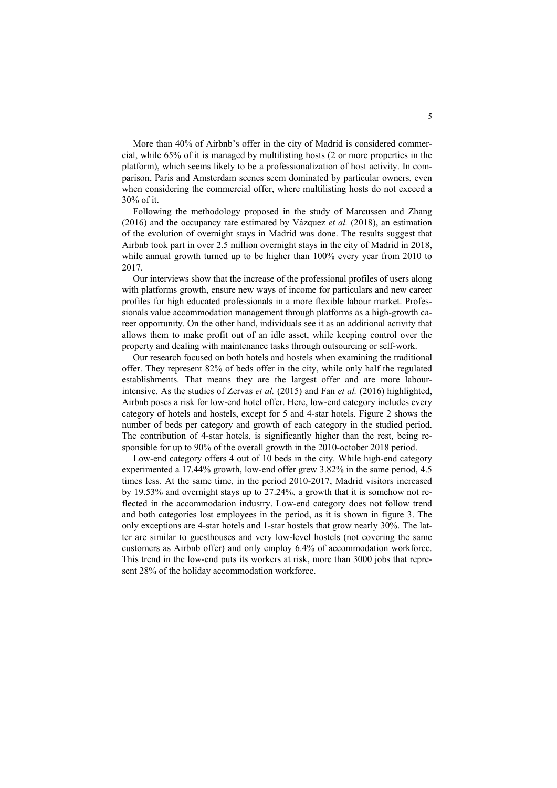More than 40% of Airbnb's offer in the city of Madrid is considered commercial, while 65% of it is managed by multilisting hosts (2 or more properties in the platform), which seems likely to be a professionalization of host activity. In comparison, Paris and Amsterdam scenes seem dominated by particular owners, even when considering the commercial offer, where multilisting hosts do not exceed a 30% of it.

Following the methodology proposed in the study of Marcussen and Zhang (2016) and the occupancy rate estimated by Vázquez *et al.* (2018), an estimation of the evolution of overnight stays in Madrid was done. The results suggest that Airbnb took part in over 2.5 million overnight stays in the city of Madrid in 2018, while annual growth turned up to be higher than 100% every year from 2010 to 2017.

Our interviews show that the increase of the professional profiles of users along with platforms growth, ensure new ways of income for particulars and new career profiles for high educated professionals in a more flexible labour market. Professionals value accommodation management through platforms as a high-growth career opportunity. On the other hand, individuals see it as an additional activity that allows them to make profit out of an idle asset, while keeping control over the property and dealing with maintenance tasks through outsourcing or self-work.

Our research focused on both hotels and hostels when examining the traditional offer. They represent 82% of beds offer in the city, while only half the regulated establishments. That means they are the largest offer and are more labourintensive. As the studies of Zervas *et al.* (2015) and Fan *et al.* (2016) highlighted, Airbnb poses a risk for low-end hotel offer. Here, low-end category includes every category of hotels and hostels, except for 5 and 4-star hotels. Figure 2 shows the number of beds per category and growth of each category in the studied period. The contribution of 4-star hotels, is significantly higher than the rest, being responsible for up to 90% of the overall growth in the 2010-october 2018 period.

Low-end category offers 4 out of 10 beds in the city. While high-end category experimented a 17.44% growth, low-end offer grew 3.82% in the same period, 4.5 times less. At the same time, in the period 2010-2017, Madrid visitors increased by 19.53% and overnight stays up to 27.24%, a growth that it is somehow not reflected in the accommodation industry. Low-end category does not follow trend and both categories lost employees in the period, as it is shown in figure 3. The only exceptions are 4-star hotels and 1-star hostels that grow nearly 30%. The latter are similar to guesthouses and very low-level hostels (not covering the same customers as Airbnb offer) and only employ 6.4% of accommodation workforce. This trend in the low-end puts its workers at risk, more than 3000 jobs that represent 28% of the holiday accommodation workforce.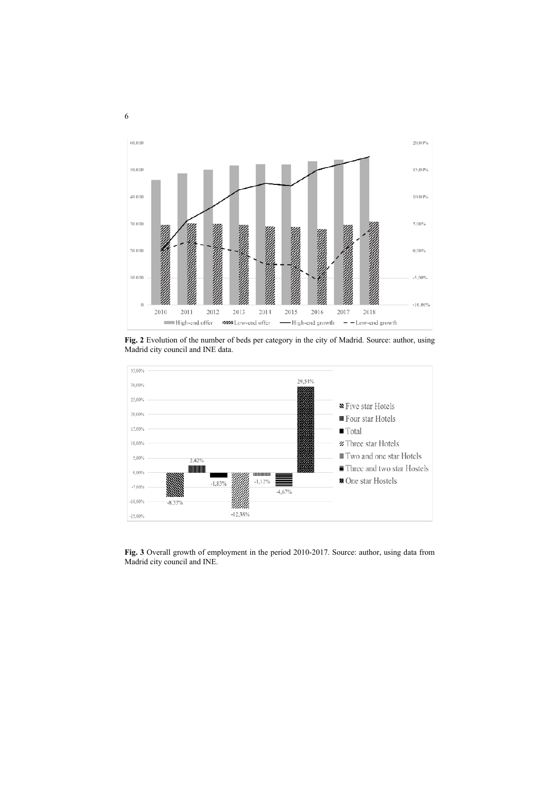

**Fig. 2** Evolution of the number of beds per category in the city of Madrid. Source: author, using Madrid city council and INE data.



**Fig. 3** Overall growth of employment in the period 2010-2017. Source: author, using data from Madrid city council and INE.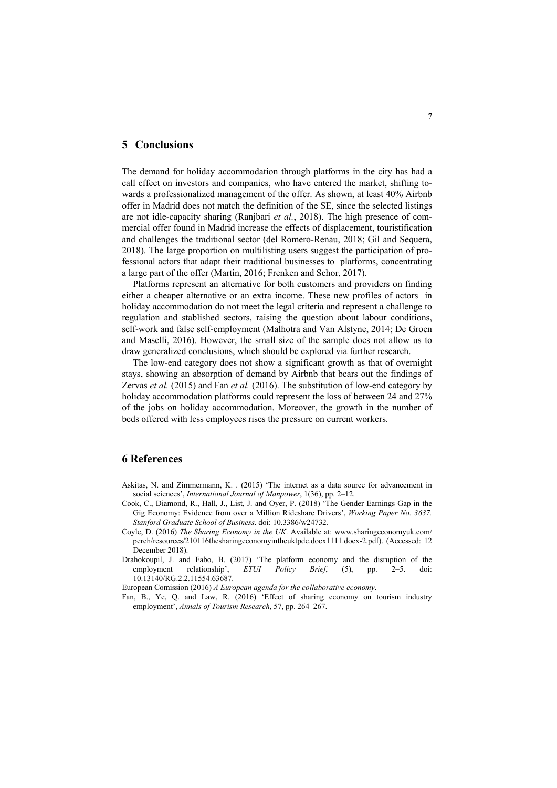#### **5 Conclusions**

The demand for holiday accommodation through platforms in the city has had a call effect on investors and companies, who have entered the market, shifting towards a professionalized management of the offer. As shown, at least 40% Airbnb offer in Madrid does not match the definition of the SE, since the selected listings are not idle-capacity sharing (Ranjbari *et al.*, 2018). The high presence of commercial offer found in Madrid increase the effects of displacement, touristification and challenges the traditional sector (del Romero-Renau, 2018; Gil and Sequera, 2018). The large proportion on multilisting users suggest the participation of professional actors that adapt their traditional businesses to platforms, concentrating a large part of the offer (Martin, 2016; Frenken and Schor, 2017).

Platforms represent an alternative for both customers and providers on finding either a cheaper alternative or an extra income. These new profiles of actors in holiday accommodation do not meet the legal criteria and represent a challenge to regulation and stablished sectors, raising the question about labour conditions, self-work and false self-employment (Malhotra and Van Alstyne, 2014; De Groen and Maselli, 2016). However, the small size of the sample does not allow us to draw generalized conclusions, which should be explored via further research.

The low-end category does not show a significant growth as that of overnight stays, showing an absorption of demand by Airbnb that bears out the findings of Zervas *et al.* (2015) and Fan *et al.* (2016). The substitution of low-end category by holiday accommodation platforms could represent the loss of between 24 and 27% of the jobs on holiday accommodation. Moreover, the growth in the number of beds offered with less employees rises the pressure on current workers.

# **6 References**

- Askitas, N. and Zimmermann, K. . (2015) 'The internet as a data source for advancement in social sciences', *International Journal of Manpower*, 1(36), pp. 2–12.
- Cook, C., Diamond, R., Hall, J., List, J. and Oyer, P. (2018) 'The Gender Earnings Gap in the Gig Economy: Evidence from over a Million Rideshare Drivers', *Working Paper No. 3637. Stanford Graduate School of Business*. doi: 10.3386/w24732.
- Coyle, D. (2016) *The Sharing Economy in the UK*. Available at: www.sharingeconomyuk.com/ perch/resources/210116thesharingeconomyintheuktpdc.docx1111.docx-2.pdf). (Accessed: 12 December 2018).
- Drahokoupil, J. and Fabo, B. (2017) 'The platform economy and the disruption of the employment relationship', *ETUI Policy Brief*, (5), pp. 2–5. doi: 10.13140/RG.2.2.11554.63687.

European Comission (2016) *A European agenda for the collaborative economy*.

Fan, B., Ye, Q. and Law, R. (2016) 'Effect of sharing economy on tourism industry employment', *Annals of Tourism Research*, 57, pp. 264–267.